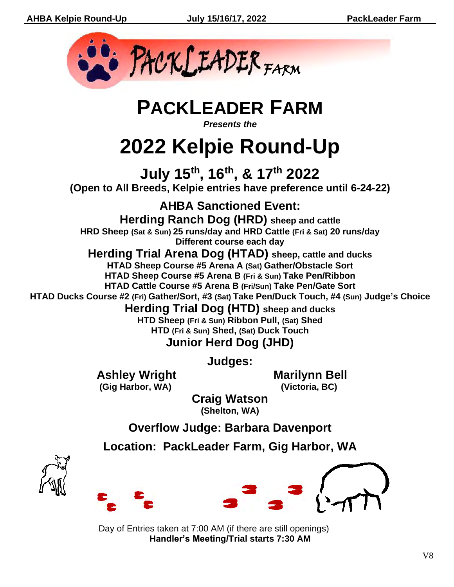

**PACKLEADER FARM**

*Presents the*

# **2022 Kelpie Round-Up**

**July 15 th , 16 th , & 17 th 2022 (Open to All Breeds, Kelpie entries have preference until 6-24-22)**

**AHBA Sanctioned Event:**

**Herding Ranch Dog (HRD) sheep and cattle HRD Sheep (Sat & Sun) 25 runs/day and HRD Cattle (Fri & Sat) 20 runs/day Different course each day**

**Herding Trial Arena Dog (HTAD) sheep, cattle and ducks HTAD Sheep Course #5 Arena A (Sat) Gather/Obstacle Sort HTAD Sheep Course #5 Arena B (Fri & Sun) Take Pen/Ribbon**

**HTAD Cattle Course #5 Arena B (Fri/Sun) Take Pen/Gate Sort HTAD Ducks Course #2 (Fri) Gather/Sort, #3 (Sat) Take Pen/Duck Touch, #4 (Sun) Judge's Choice**

**Herding Trial Dog (HTD) sheep and ducks**

**HTD Sheep (Fri & Sun) Ribbon Pull, (Sat) Shed HTD (Fri & Sun) Shed, (Sat) Duck Touch Junior Herd Dog (JHD)**

**Judges:**

**Ashley Wright Marilynn Bell (Gig Harbor, WA) (Victoria, BC)**

**Craig Watson (Shelton, WA)**

**Overflow Judge: Barbara Davenport**

**Location: PackLeader Farm, Gig Harbor, WA**





Day of Entries taken at 7:00 AM (if there are still openings) **Handler's Meeting/Trial starts 7:30 AM**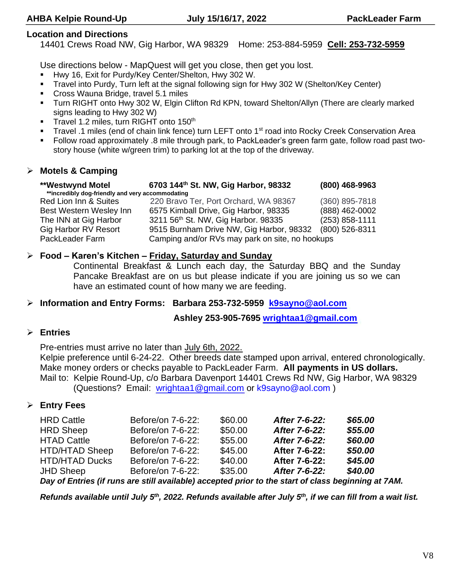#### **Location and Directions**

14401 Crews Road NW, Gig Harbor, WA 98329 Home: 253-884-5959 **Cell: 253-732-5959**

Use directions below - MapQuest will get you close, then get you lost.

- Hwy 16, Exit for Purdy/Key Center/Shelton, Hwy 302 W.
- Travel into Purdy, Turn left at the signal following sign for Hwy 302 W (Shelton/Key Center)
- Cross Wauna Bridge, travel 5.1 miles
- Turn RIGHT onto Hwy 302 W, Elgin Clifton Rd KPN, toward Shelton/Allyn (There are clearly marked signs leading to Hwy 302 W)
- Travel 1.2 miles, turn RIGHT onto 150<sup>th</sup>
- Travel .1 miles (end of chain link fence) turn LEFT onto 1<sup>st</sup> road into Rocky Creek Conservation Area
- Follow road approximately .8 mile through park, to PackLeader's green farm gate, follow road past twostory house (white w/green trim) to parking lot at the top of the driveway.

#### ➢ **Motels & Camping**

| <b>**Westwynd Motel</b>                          | 6703 144th St. NW, Gig Harbor, 98332            | (800) 468-9963   |  |  |  |  |  |
|--------------------------------------------------|-------------------------------------------------|------------------|--|--|--|--|--|
| **incredibly dog-friendly and very accommodating |                                                 |                  |  |  |  |  |  |
| Red Lion Inn & Suites                            | 220 Bravo Ter, Port Orchard, WA 98367           | (360) 895-7818   |  |  |  |  |  |
| Best Western Wesley Inn                          | 6575 Kimball Drive, Gig Harbor, 98335           | (888) 462-0002   |  |  |  |  |  |
| The INN at Gig Harbor                            | 3211 56th St. NW, Gig Harbor. 98335             | $(253)$ 858-1111 |  |  |  |  |  |
| <b>Gig Harbor RV Resort</b>                      | 9515 Burnham Drive NW, Gig Harbor, 98332        | (800) 526-8311   |  |  |  |  |  |
| PackLeader Farm                                  | Camping and/or RVs may park on site, no hookups |                  |  |  |  |  |  |

#### ➢ **Food – Karen's Kitchen – Friday, Saturday and Sunday**

Continental Breakfast & Lunch each day, the Saturday BBQ and the Sunday Pancake Breakfast are on us but please indicate if you are joining us so we can have an estimated count of how many we are feeding.

#### ➢ **Information and Entry Forms: Barbara 253-732-5959 k9sayno@aol.com**

**Ashley 253-905-7695 wrightaa1@gmail.com**

#### ➢ **Entries**

Pre-entries must arrive no later than July 6th, 2022.

Kelpie preference until 6-24-22. Other breeds date stamped upon arrival, entered chronologically. Make money orders or checks payable to PackLeader Farm. **All payments in US dollars.** Mail to: Kelpie Round-Up, c/o Barbara Davenport 14401 Crews Rd NW, Gig Harbor, WA 98329 (Questions? Email: wrightaa1@gmail.com or k9sayno@aol.com )

#### ➢ **Entry Fees**

| <b>HRD Cattle</b>     | Before/on 7-6-22:                                                                          | \$60.00 | After 7-6-22: | \$65.00 |
|-----------------------|--------------------------------------------------------------------------------------------|---------|---------------|---------|
| <b>HRD Sheep</b>      | Before/on 7-6-22:                                                                          | \$50.00 | After 7-6-22: | \$55.00 |
| <b>HTAD Cattle</b>    | Before/on 7-6-22:                                                                          | \$55.00 | After 7-6-22: | \$60.00 |
| <b>HTD/HTAD Sheep</b> | Before/on 7-6-22:                                                                          | \$45.00 | After 7-6-22: | \$50.00 |
| <b>HTD/HTAD Ducks</b> | Before/on 7-6-22:                                                                          | \$40.00 | After 7-6-22: | \$45.00 |
| <b>JHD Sheep</b>      | Before/on 7-6-22:                                                                          | \$35.00 | After 7-6-22: | \$40.00 |
|                       | Dough Entrico (if runo are otill ovailable) acconted prior to the atort of close beginning |         |               |         |

*Day of Entries (if runs are still available) accepted prior to the start of class beginning at 7AM.*

*Refunds available until July 5 th, 2022. Refunds available after July 5 th, if we can fill from a wait list.*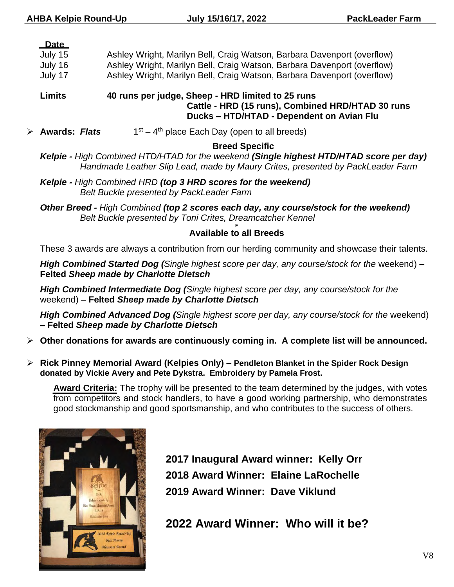#### **Date**

| July 15 |  | Ashley Wright, Marilyn Bell, Craig Watson, Barbara Davenport (overflow) |  |
|---------|--|-------------------------------------------------------------------------|--|
|---------|--|-------------------------------------------------------------------------|--|

July 16 Ashley Wright, Marilyn Bell, Craig Watson, Barbara Davenport (overflow)

July 17 Ashley Wright, Marilyn Bell, Craig Watson, Barbara Davenport (overflow)

**Limits 40 runs per judge, Sheep - HRD limited to 25 runs Cattle - HRD (15 runs), Combined HRD/HTAD 30 runs Ducks – HTD/HTAD - Dependent on Avian Flu**

➢ **Awards:** *Flats* 1 st – 4<sup>th</sup> place Each Day (open to all breeds)

#### **Breed Specific**

*Kelpie - High Combined HTD/HTAD for the weekend (Single highest HTD/HTAD score per day) Handmade Leather Slip Lead, made by Maury Crites, presented by PackLeader Farm*

*Kelpie - High Combined HRD (top 3 HRD scores for the weekend) Belt Buckle presented by PackLeader Farm* 

*Other Breed - High Combined (top 2 scores each day, any course/stock for the weekend) Belt Buckle presented by Toni Crites, Dreamcatcher Kennel*  **F**

#### **Available to all Breeds**

These 3 awards are always a contribution from our herding community and showcase their talents.

*High Combined Started Dog (Single highest score per day, any course/stock for the* weekend) **– Felted** *Sheep made by Charlotte Dietsch*

*High Combined Intermediate Dog (Single highest score per day, any course/stock for the*  weekend) **– Felted** *Sheep made by Charlotte Dietsch*

*High Combined Advanced Dog (Single highest score per day, any course/stock for the* weekend) **– Felted** *Sheep made by Charlotte Dietsch*

- ➢ **Other donations for awards are continuously coming in. A complete list will be announced.**
- ➢ **Rick Pinney Memorial Award (Kelpies Only) – Pendleton Blanket in the Spider Rock Design donated by Vickie Avery and Pete Dykstra. Embroidery by Pamela Frost.**

**Award Criteria:** The trophy will be presented to the team determined by the judges, with votes from competitors and stock handlers, to have a good working partnership, who demonstrates good stockmanship and good sportsmanship, and who contributes to the success of others.



**2017 Inaugural Award winner: Kelly Orr 2018 Award Winner: Elaine LaRochelle 2019 Award Winner: Dave Viklund**

**2022 Award Winner: Who will it be?**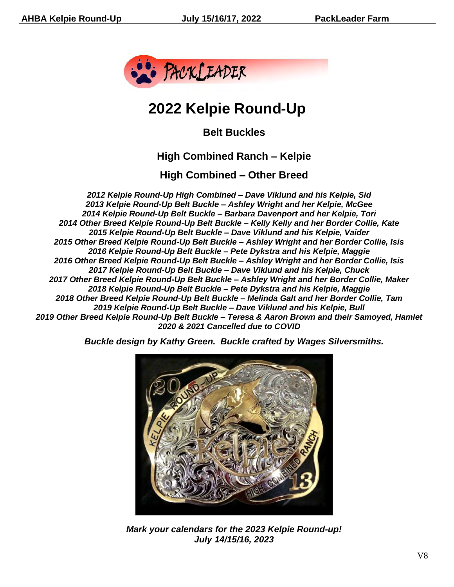

# **2022 Kelpie Round-Up**

**Belt Buckles**

## **High Combined Ranch – Kelpie**

**High Combined – Other Breed**

*2012 Kelpie Round-Up High Combined – Dave Viklund and his Kelpie, Sid 2013 Kelpie Round-Up Belt Buckle – Ashley Wright and her Kelpie, McGee 2014 Kelpie Round-Up Belt Buckle – Barbara Davenport and her Kelpie, Tori 2014 Other Breed Kelpie Round-Up Belt Buckle – Kelly Kelly and her Border Collie, Kate 2015 Kelpie Round-Up Belt Buckle – Dave Viklund and his Kelpie, Vaider 2015 Other Breed Kelpie Round-Up Belt Buckle – Ashley Wright and her Border Collie, Isis 2016 Kelpie Round-Up Belt Buckle – Pete Dykstra and his Kelpie, Maggie 2016 Other Breed Kelpie Round-Up Belt Buckle – Ashley Wright and her Border Collie, Isis 2017 Kelpie Round-Up Belt Buckle – Dave Viklund and his Kelpie, Chuck 2017 Other Breed Kelpie Round-Up Belt Buckle – Ashley Wright and her Border Collie, Maker 2018 Kelpie Round-Up Belt Buckle – Pete Dykstra and his Kelpie, Maggie 2018 Other Breed Kelpie Round-Up Belt Buckle – Melinda Galt and her Border Collie, Tam 2019 Kelpie Round-Up Belt Buckle – Dave Viklund and his Kelpie, Bull 2019 Other Breed Kelpie Round-Up Belt Buckle – Teresa & Aaron Brown and their Samoyed, Hamlet 2020 & 2021 Cancelled due to COVID*

*Buckle design by Kathy Green. Buckle crafted by Wages Silversmiths.*



*Mark your calendars for the 2023 Kelpie Round-up! July 14/15/16, 2023*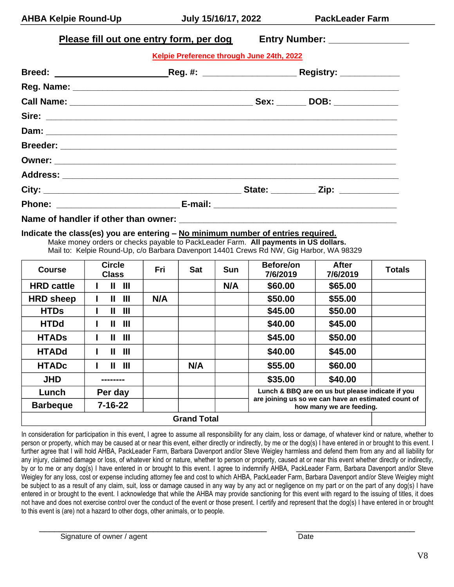| Please fill out one entry form, per dog Entry Number: __________________________ |                                                                                  |                                                                                                           |  |  |
|----------------------------------------------------------------------------------|----------------------------------------------------------------------------------|-----------------------------------------------------------------------------------------------------------|--|--|
|                                                                                  | Kelpie Preference through June 24th, 2022                                        |                                                                                                           |  |  |
|                                                                                  |                                                                                  | Breed: _______________________________Reg. #: __________________________________Registry: _______________ |  |  |
|                                                                                  |                                                                                  |                                                                                                           |  |  |
|                                                                                  |                                                                                  |                                                                                                           |  |  |
|                                                                                  |                                                                                  |                                                                                                           |  |  |
|                                                                                  |                                                                                  |                                                                                                           |  |  |
|                                                                                  |                                                                                  |                                                                                                           |  |  |
|                                                                                  |                                                                                  |                                                                                                           |  |  |
|                                                                                  |                                                                                  |                                                                                                           |  |  |
|                                                                                  |                                                                                  |                                                                                                           |  |  |
|                                                                                  |                                                                                  |                                                                                                           |  |  |
|                                                                                  |                                                                                  |                                                                                                           |  |  |
|                                                                                  | Indicate the class(es) you are entering - No minimum number of entries required. |                                                                                                           |  |  |

Make money orders or checks payable to PackLeader Farm. **All payments in US dollars.** Mail to: Kelpie Round-Up, c/o Barbara Davenport 14401 Crews Rd NW, Gig Harbor, WA 98329

| <b>Course</b>      | <b>Circle</b><br><b>Class</b> | Fri | <b>Sat</b> | <b>Sun</b> | <b>Before/on</b><br>7/6/2019                                                    | <b>After</b><br>7/6/2019 | <b>Totals</b> |
|--------------------|-------------------------------|-----|------------|------------|---------------------------------------------------------------------------------|--------------------------|---------------|
| <b>HRD cattle</b>  | $\mathbf{III}$<br>II          |     |            | N/A        | \$60.00                                                                         | \$65.00                  |               |
| <b>HRD</b> sheep   | Ш<br>Ш                        | N/A |            |            | \$50.00                                                                         | \$55.00                  |               |
| <b>HTDs</b>        | Ш<br>Ш                        |     |            |            | \$45.00                                                                         | \$50.00                  |               |
| <b>HTDd</b>        | $\mathbf{III}$<br>Ш           |     |            |            | \$40.00                                                                         | \$45.00                  |               |
| <b>HTADS</b>       | $\mathbf{III}$<br>Ш           |     |            |            | \$45.00                                                                         | \$50.00                  |               |
| <b>HTADd</b>       | Ш<br>Ш                        |     |            |            | \$40.00                                                                         | \$45.00                  |               |
| <b>HTADc</b>       | Ш<br>Ш                        |     | N/A        |            | \$55.00                                                                         | \$60.00                  |               |
| <b>JHD</b>         | --------                      |     |            |            | \$35.00<br>\$40.00                                                              |                          |               |
| Lunch              | Per day                       |     |            |            | Lunch & BBQ are on us but please indicate if you                                |                          |               |
| <b>Barbeque</b>    | $7 - 16 - 22$                 |     |            |            | are joining us so we can have an estimated count of<br>how many we are feeding. |                          |               |
| <b>Grand Total</b> |                               |     |            |            |                                                                                 |                          |               |

In consideration for participation in this event, I agree to assume all responsibility for any claim, loss or damage, of whatever kind or nature, whether to person or property, which may be caused at or near this event, either directly or indirectly, by me or the dog(s) I have entered in or brought to this event. I further agree that I will hold AHBA, PackLeader Farm, Barbara Davenport and/or Steve Weigley harmless and defend them from any and all liability for any injury, claimed damage or loss, of whatever kind or nature, whether to person or property, caused at or near this event whether directly or indirectly, by or to me or any dog(s) I have entered in or brought to this event. I agree to indemnify AHBA, PackLeader Farm, Barbara Davenport and/or Steve Weigley for any loss, cost or expense including attorney fee and cost to which AHBA, PackLeader Farm, Barbara Davenport and/or Steve Weigley might be subject to as a result of any claim, suit, loss or damage caused in any way by any act or negligence on my part or on the part of any dog(s) I have entered in or brought to the event. I acknowledge that while the AHBA may provide sanctioning for this event with regard to the issuing of titles, it does not have and does not exercise control over the conduct of the event or those present. I certify and represent that the dog(s) I have entered in or brought to this event is (are) not a hazard to other dogs, other animals, or to people.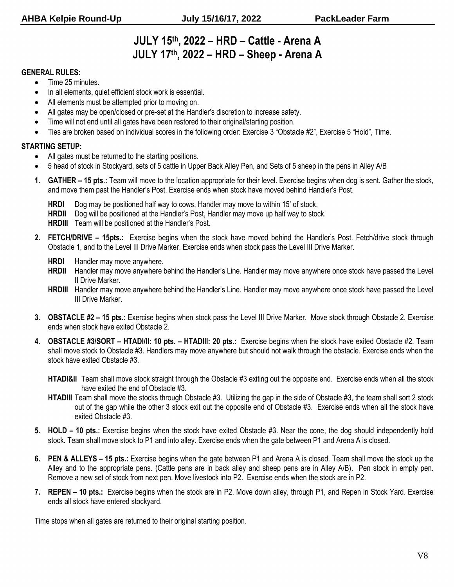## **JULY 15th , 2022 – HRD – Cattle - Arena A JULY 17 th, 2022 – HRD – Sheep - Arena A**

#### **GENERAL RULES:**

- Time 25 minutes.
- In all elements, quiet efficient stock work is essential.
- All elements must be attempted prior to moving on.
- All gates may be open/closed or pre-set at the Handler's discretion to increase safety.
- Time will not end until all gates have been restored to their original/starting position.
- Ties are broken based on individual scores in the following order: Exercise 3 "Obstacle #2", Exercise 5 "Hold", Time.

#### **STARTING SETUP:**

- All gates must be returned to the starting positions.
- 5 head of stock in Stockyard, sets of 5 cattle in Upper Back Alley Pen, and Sets of 5 sheep in the pens in Alley A/B
- **1. GATHER – 15 pts.:** Team will move to the location appropriate for their level. Exercise begins when dog is sent. Gather the stock, and move them past the Handler's Post. Exercise ends when stock have moved behind Handler's Post.
	- **HRDI** Dog may be positioned half way to cows, Handler may move to within 15' of stock.
	- **HRDII** Dog will be positioned at the Handler's Post, Handler may move up half way to stock.
	- **HRDIII** Team will be positioned at the Handler's Post.
- **2. FETCH/DRIVE – 15pts.:** Exercise begins when the stock have moved behind the Handler's Post. Fetch/drive stock through Obstacle 1, and to the Level III Drive Marker. Exercise ends when stock pass the Level III Drive Marker.
	- **HRDI** Handler may move anywhere.
	- **HRDII** Handler may move anywhere behind the Handler's Line. Handler may move anywhere once stock have passed the Level II Drive Marker.
	- **HRDIII** Handler may move anywhere behind the Handler's Line. Handler may move anywhere once stock have passed the Level III Drive Marker.
- **3. OBSTACLE #2 – 15 pts.:** Exercise begins when stock pass the Level III Drive Marker. Move stock through Obstacle 2. Exercise ends when stock have exited Obstacle 2.
- **4. OBSTACLE #3/SORT – HTADI/II: 10 pts. – HTADIII: 20 pts.:** Exercise begins when the stock have exited Obstacle #2. Team shall move stock to Obstacle #3. Handlers may move anywhere but should not walk through the obstacle. Exercise ends when the stock have exited Obstacle #3.
	- **HTADI&II** Team shall move stock straight through the Obstacle #3 exiting out the opposite end. Exercise ends when all the stock have exited the end of Obstacle #3.
	- **HTADIII** Team shall move the stocks through Obstacle #3. Utilizing the gap in the side of Obstacle #3, the team shall sort 2 stock out of the gap while the other 3 stock exit out the opposite end of Obstacle #3. Exercise ends when all the stock have exited Obstacle #3.
- **5. HOLD – 10 pts.:** Exercise begins when the stock have exited Obstacle #3. Near the cone, the dog should independently hold stock. Team shall move stock to P1 and into alley. Exercise ends when the gate between P1 and Arena A is closed.
- **6. PEN & ALLEYS – 15 pts.:** Exercise begins when the gate between P1 and Arena A is closed. Team shall move the stock up the Alley and to the appropriate pens. (Cattle pens are in back alley and sheep pens are in Alley A/B). Pen stock in empty pen. Remove a new set of stock from next pen. Move livestock into P2. Exercise ends when the stock are in P2.
- **7. REPEN – 10 pts.:** Exercise begins when the stock are in P2. Move down alley, through P1, and Repen in Stock Yard. Exercise ends all stock have entered stockyard.

Time stops when all gates are returned to their original starting position.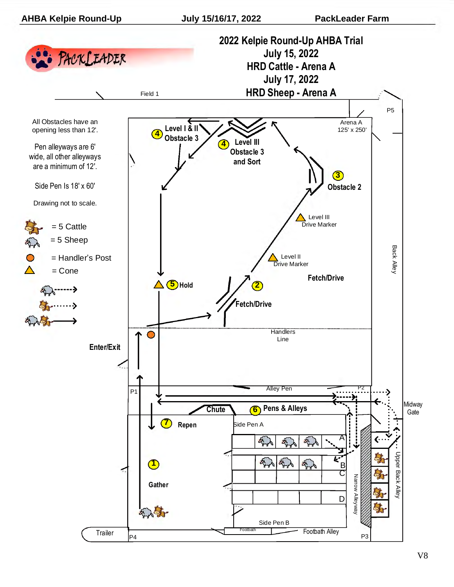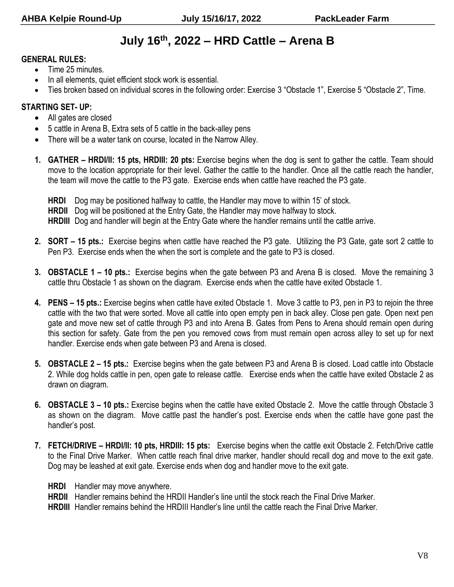# **July 16 th, 2022 – HRD Cattle – Arena B**

#### **GENERAL RULES:**

- Time 25 minutes.
- In all elements, quiet efficient stock work is essential.
- Ties broken based on individual scores in the following order: Exercise 3 "Obstacle 1", Exercise 5 "Obstacle 2", Time.

#### **STARTING SET- UP:**

- All gates are closed
- 5 cattle in Arena B, Extra sets of 5 cattle in the back-alley pens
- There will be a water tank on course, located in the Narrow Alley.
- **1. GATHER – HRDI/II: 15 pts, HRDIII: 20 pts:** Exercise begins when the dog is sent to gather the cattle. Team should move to the location appropriate for their level. Gather the cattle to the handler. Once all the cattle reach the handler, the team will move the cattle to the P3 gate. Exercise ends when cattle have reached the P3 gate.
	- **HRDI** Dog may be positioned halfway to cattle, the Handler may move to within 15' of stock.
	- **HRDII** Dog will be positioned at the Entry Gate, the Handler may move halfway to stock.

**HRDIII** Dog and handler will begin at the Entry Gate where the handler remains until the cattle arrive.

- **2. SORT – 15 pts.:** Exercise begins when cattle have reached the P3 gate. Utilizing the P3 Gate, gate sort 2 cattle to Pen P3. Exercise ends when the when the sort is complete and the gate to P3 is closed.
- **3. OBSTACLE 1 – 10 pts.:** Exercise begins when the gate between P3 and Arena B is closed. Move the remaining 3 cattle thru Obstacle 1 as shown on the diagram. Exercise ends when the cattle have exited Obstacle 1.
- **4. PENS – 15 pts.:** Exercise begins when cattle have exited Obstacle 1. Move 3 cattle to P3, pen in P3 to rejoin the three cattle with the two that were sorted. Move all cattle into open empty pen in back alley. Close pen gate. Open next pen gate and move new set of cattle through P3 and into Arena B. Gates from Pens to Arena should remain open during this section for safety. Gate from the pen you removed cows from must remain open across alley to set up for next handler. Exercise ends when gate between P3 and Arena is closed.
- **5. OBSTACLE 2 – 15 pts.:** Exercise begins when the gate between P3 and Arena B is closed. Load cattle into Obstacle 2. While dog holds cattle in pen, open gate to release cattle. Exercise ends when the cattle have exited Obstacle 2 as drawn on diagram.
- **6. OBSTACLE 3 – 10 pts.:** Exercise begins when the cattle have exited Obstacle 2. Move the cattle through Obstacle 3 as shown on the diagram. Move cattle past the handler's post. Exercise ends when the cattle have gone past the handler's post.
- **7. FETCH/DRIVE – HRDI/II: 10 pts, HRDIII: 15 pts:** Exercise begins when the cattle exit Obstacle 2. Fetch/Drive cattle to the Final Drive Marker. When cattle reach final drive marker, handler should recall dog and move to the exit gate. Dog may be leashed at exit gate. Exercise ends when dog and handler move to the exit gate.
	- **HRDI** Handler may move anywhere.
	- **HRDII** Handler remains behind the HRDII Handler's line until the stock reach the Final Drive Marker.
	- **HRDIII** Handler remains behind the HRDIII Handler's line until the cattle reach the Final Drive Marker.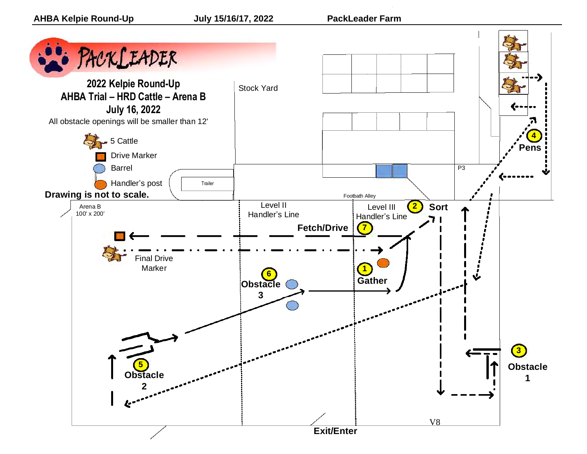

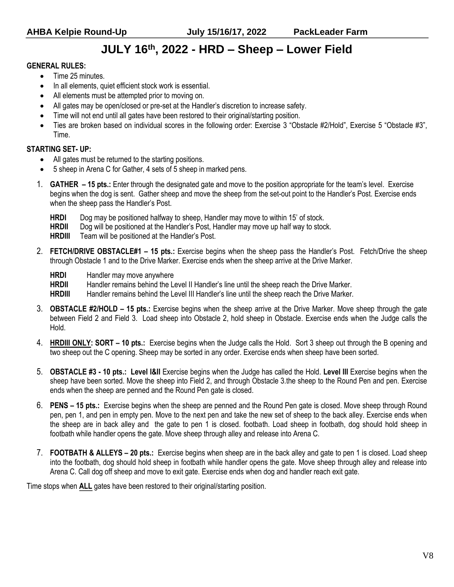# **JULY 16 th, 2022 - HRD – Sheep – Lower Field**

#### **GENERAL RULES:**

- Time 25 minutes.
- In all elements, quiet efficient stock work is essential.
- All elements must be attempted prior to moving on.
- All gates may be open/closed or pre-set at the Handler's discretion to increase safety.
- Time will not end until all gates have been restored to their original/starting position.
- Ties are broken based on individual scores in the following order: Exercise 3 "Obstacle #2/Hold", Exercise 5 "Obstacle #3", Time.

#### **STARTING SET- UP:**

- All gates must be returned to the starting positions.
- 5 sheep in Arena C for Gather, 4 sets of 5 sheep in marked pens.
- 1. **GATHER – 15 pts.:** Enter through the designated gate and move to the position appropriate for the team's level. Exercise begins when the dog is sent. Gather sheep and move the sheep from the set-out point to the Handler's Post. Exercise ends when the sheep pass the Handler's Post.
	- **HRDI** Dog may be positioned halfway to sheep, Handler may move to within 15' of stock.
	- **HRDII** Dog will be positioned at the Handler's Post, Handler may move up half way to stock.
	- **HRDIII** Team will be positioned at the Handler's Post.
- 2. **FETCH/DRIVE OBSTACLE#1 – 15 pts.:** Exercise begins when the sheep pass the Handler's Post. Fetch/Drive the sheep through Obstacle 1 and to the Drive Marker. Exercise ends when the sheep arrive at the Drive Marker.
	- **HRDI** Handler may move anywhere

**HRDII** Handler remains behind the Level II Handler's line until the sheep reach the Drive Marker.

**HRDIII** Handler remains behind the Level III Handler's line until the sheep reach the Drive Marker.

- 3. **OBSTACLE #2/HOLD – 15 pts.:** Exercise begins when the sheep arrive at the Drive Marker. Move sheep through the gate between Field 2 and Field 3. Load sheep into Obstacle 2, hold sheep in Obstacle. Exercise ends when the Judge calls the Hold.
- 4. **HRDIII ONLY: SORT – 10 pts.:** Exercise begins when the Judge calls the Hold. Sort 3 sheep out through the B opening and two sheep out the C opening. Sheep may be sorted in any order. Exercise ends when sheep have been sorted.
- 5. **OBSTACLE #3 - 10 pts.: Level I&II** Exercise begins when the Judge has called the Hold. **Level III** Exercise begins when the sheep have been sorted. Move the sheep into Field 2, and through Obstacle 3.the sheep to the Round Pen and pen. Exercise ends when the sheep are penned and the Round Pen gate is closed.
- 6. **PENS – 15 pts.:** Exercise begins when the sheep are penned and the Round Pen gate is closed. Move sheep through Round pen, pen 1, and pen in empty pen. Move to the next pen and take the new set of sheep to the back alley. Exercise ends when the sheep are in back alley and the gate to pen 1 is closed. footbath. Load sheep in footbath, dog should hold sheep in footbath while handler opens the gate. Move sheep through alley and release into Arena C.
- 7. **FOOTBATH & ALLEYS – 20 pts.:** Exercise begins when sheep are in the back alley and gate to pen 1 is closed. Load sheep into the footbath, dog should hold sheep in footbath while handler opens the gate. Move sheep through alley and release into Arena C. Call dog off sheep and move to exit gate. Exercise ends when dog and handler reach exit gate.

Time stops when **ALL** gates have been restored to their original/starting position.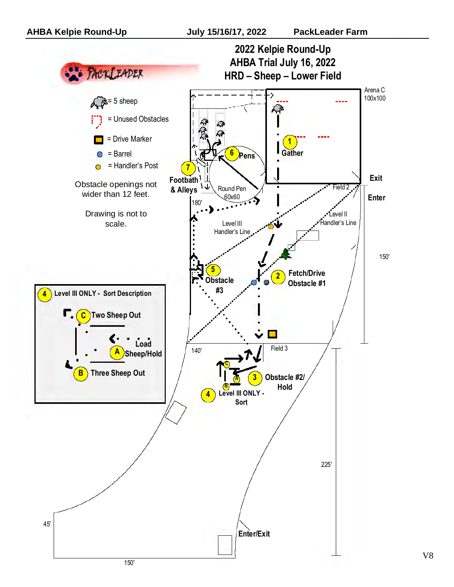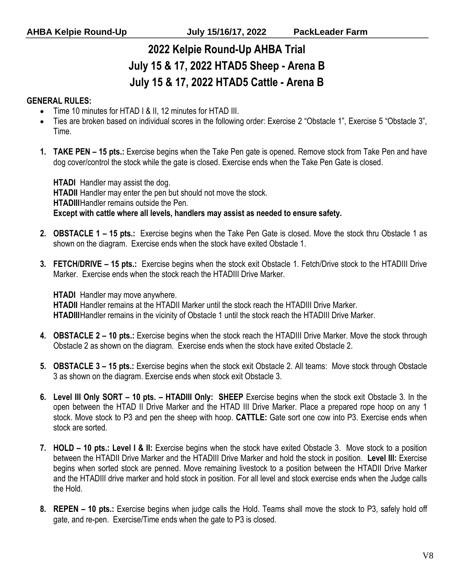# **2022 Kelpie Round-Up AHBA Trial July 15 & 17, 2022 HTAD5 Sheep - Arena B July 15 & 17, 2022 HTAD5 Cattle - Arena B**

#### **GENERAL RULES:**

- Time 10 minutes for HTAD I & II, 12 minutes for HTAD III.
- Ties are broken based on individual scores in the following order: Exercise 2 "Obstacle 1", Exercise 5 "Obstacle 3", Time.
- **1. TAKE PEN – 15 pts.:** Exercise begins when the Take Pen gate is opened. Remove stock from Take Pen and have dog cover/control the stock while the gate is closed. Exercise ends when the Take Pen Gate is closed.

**HTADI** Handler may assist the dog. **HTADII** Handler may enter the pen but should not move the stock. **HTADIII**Handler remains outside the Pen. **Except with cattle where all levels, handlers may assist as needed to ensure safety.**

- **2. OBSTACLE 1 – 15 pts.:** Exercise begins when the Take Pen Gate is closed. Move the stock thru Obstacle 1 as shown on the diagram. Exercise ends when the stock have exited Obstacle 1.
- **3. FETCH/DRIVE – 15 pts.:** Exercise begins when the stock exit Obstacle 1. Fetch/Drive stock to the HTADIII Drive Marker. Exercise ends when the stock reach the HTADIII Drive Marker.

**HTADI** Handler may move anywhere.

**HTADII** Handler remains at the HTADII Marker until the stock reach the HTADIII Drive Marker. **HTADIII**Handler remains in the vicinity of Obstacle 1 until the stock reach the HTADIII Drive Marker.

- **4. OBSTACLE 2 – 10 pts.:** Exercise begins when the stock reach the HTADIII Drive Marker. Move the stock through Obstacle 2 as shown on the diagram. Exercise ends when the stock have exited Obstacle 2.
- **5. OBSTACLE 3 – 15 pts.:** Exercise begins when the stock exit Obstacle 2. All teams: Move stock through Obstacle 3 as shown on the diagram. Exercise ends when stock exit Obstacle 3.
- **6. Level III Only SORT – 10 pts. – HTADIII Only: SHEEP** Exercise begins when the stock exit Obstacle 3. In the open between the HTAD II Drive Marker and the HTAD III Drive Marker. Place a prepared rope hoop on any 1 stock. Move stock to P3 and pen the sheep with hoop. **CATTLE:** Gate sort one cow into P3. Exercise ends when stock are sorted.
- **7. HOLD – 10 pts.: Level I & II:** Exercise begins when the stock have exited Obstacle 3. Move stock to a position between the HTADII Drive Marker and the HTADIII Drive Marker and hold the stock in position. **Level III:** Exercise begins when sorted stock are penned. Move remaining livestock to a position between the HTADII Drive Marker and the HTADIII drive marker and hold stock in position. For all level and stock exercise ends when the Judge calls the Hold.
- **8. REPEN – 10 pts.:** Exercise begins when judge calls the Hold. Teams shall move the stock to P3, safely hold off gate, and re-pen. Exercise/Time ends when the gate to P3 is closed.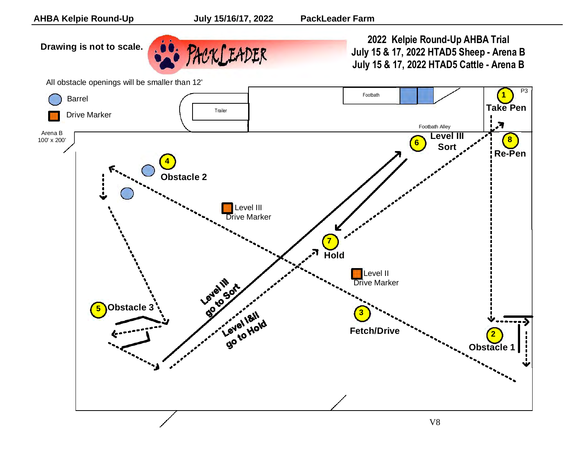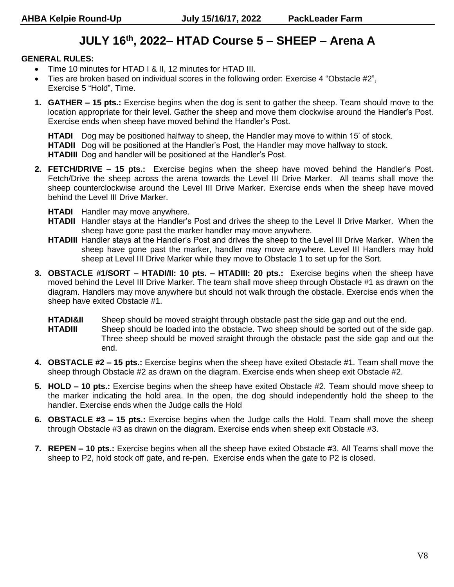# **JULY 16th , 2022– HTAD Course 5 – SHEEP – Arena A**

#### **GENERAL RULES:**

- Time 10 minutes for HTAD I & II, 12 minutes for HTAD III.
- Ties are broken based on individual scores in the following order: Exercise 4 "Obstacle #2", Exercise 5 "Hold", Time.
- **1. GATHER – 15 pts.:** Exercise begins when the dog is sent to gather the sheep. Team should move to the location appropriate for their level. Gather the sheep and move them clockwise around the Handler's Post. Exercise ends when sheep have moved behind the Handler's Post.

**HTADI** Dog may be positioned halfway to sheep, the Handler may move to within 15' of stock. **HTADII** Dog will be positioned at the Handler's Post, the Handler may move halfway to stock. **HTADIII** Dog and handler will be positioned at the Handler's Post.

- **2. FETCH/DRIVE – 15 pts.:** Exercise begins when the sheep have moved behind the Handler's Post. Fetch/Drive the sheep across the arena towards the Level III Drive Marker. All teams shall move the sheep counterclockwise around the Level III Drive Marker. Exercise ends when the sheep have moved behind the Level III Drive Marker.
	- **HTADI** Handler may move anywhere.
	- **HTADII** Handler stays at the Handler's Post and drives the sheep to the Level II Drive Marker. When the sheep have gone past the marker handler may move anywhere.
	- **HTADIII** Handler stays at the Handler's Post and drives the sheep to the Level III Drive Marker. When the sheep have gone past the marker, handler may move anywhere. Level III Handlers may hold sheep at Level III Drive Marker while they move to Obstacle 1 to set up for the Sort.
- **3. OBSTACLE #1/SORT – HTADI/II: 10 pts. – HTADIII: 20 pts.:** Exercise begins when the sheep have moved behind the Level III Drive Marker. The team shall move sheep through Obstacle #1 as drawn on the diagram. Handlers may move anywhere but should not walk through the obstacle. Exercise ends when the sheep have exited Obstacle #1.
	- **HTADI&II** Sheep should be moved straight through obstacle past the side gap and out the end. **HTADIII** Sheep should be loaded into the obstacle. Two sheep should be sorted out of the side gap. Three sheep should be moved straight through the obstacle past the side gap and out the end.
- **4. OBSTACLE #2 – 15 pts.:** Exercise begins when the sheep have exited Obstacle #1. Team shall move the sheep through Obstacle #2 as drawn on the diagram. Exercise ends when sheep exit Obstacle #2.
- **5. HOLD – 10 pts.:** Exercise begins when the sheep have exited Obstacle #2. Team should move sheep to the marker indicating the hold area. In the open, the dog should independently hold the sheep to the handler. Exercise ends when the Judge calls the Hold
- **6. OBSTACLE #3 – 15 pts.:** Exercise begins when the Judge calls the Hold. Team shall move the sheep through Obstacle #3 as drawn on the diagram. Exercise ends when sheep exit Obstacle #3.
- **7. REPEN – 10 pts.:** Exercise begins when all the sheep have exited Obstacle #3. All Teams shall move the sheep to P2, hold stock off gate, and re-pen. Exercise ends when the gate to P2 is closed.